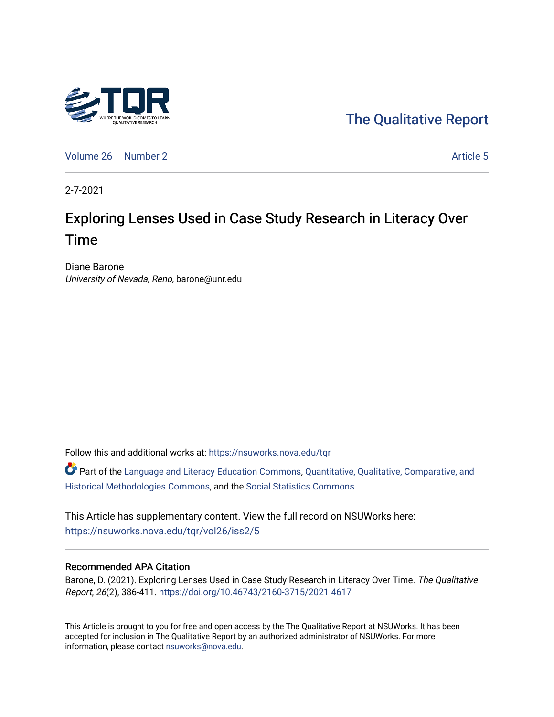

[The Qualitative Report](https://nsuworks.nova.edu/tqr) 

[Volume 26](https://nsuworks.nova.edu/tqr/vol26) [Number 2](https://nsuworks.nova.edu/tqr/vol26/iss2) Article 5

2-7-2021

# Exploring Lenses Used in Case Study Research in Literacy Over Time

Diane Barone University of Nevada, Reno, barone@unr.edu

Follow this and additional works at: [https://nsuworks.nova.edu/tqr](https://nsuworks.nova.edu/tqr?utm_source=nsuworks.nova.edu%2Ftqr%2Fvol26%2Fiss2%2F5&utm_medium=PDF&utm_campaign=PDFCoverPages) 

Part of the [Language and Literacy Education Commons,](http://network.bepress.com/hgg/discipline/1380?utm_source=nsuworks.nova.edu%2Ftqr%2Fvol26%2Fiss2%2F5&utm_medium=PDF&utm_campaign=PDFCoverPages) [Quantitative, Qualitative, Comparative, and](http://network.bepress.com/hgg/discipline/423?utm_source=nsuworks.nova.edu%2Ftqr%2Fvol26%2Fiss2%2F5&utm_medium=PDF&utm_campaign=PDFCoverPages) [Historical Methodologies Commons](http://network.bepress.com/hgg/discipline/423?utm_source=nsuworks.nova.edu%2Ftqr%2Fvol26%2Fiss2%2F5&utm_medium=PDF&utm_campaign=PDFCoverPages), and the [Social Statistics Commons](http://network.bepress.com/hgg/discipline/1275?utm_source=nsuworks.nova.edu%2Ftqr%2Fvol26%2Fiss2%2F5&utm_medium=PDF&utm_campaign=PDFCoverPages) 

This Article has supplementary content. View the full record on NSUWorks here: <https://nsuworks.nova.edu/tqr/vol26/iss2/5>

### Recommended APA Citation

Barone, D. (2021). Exploring Lenses Used in Case Study Research in Literacy Over Time. The Qualitative Report, 26(2), 386-411. <https://doi.org/10.46743/2160-3715/2021.4617>

This Article is brought to you for free and open access by the The Qualitative Report at NSUWorks. It has been accepted for inclusion in The Qualitative Report by an authorized administrator of NSUWorks. For more information, please contact [nsuworks@nova.edu.](mailto:nsuworks@nova.edu)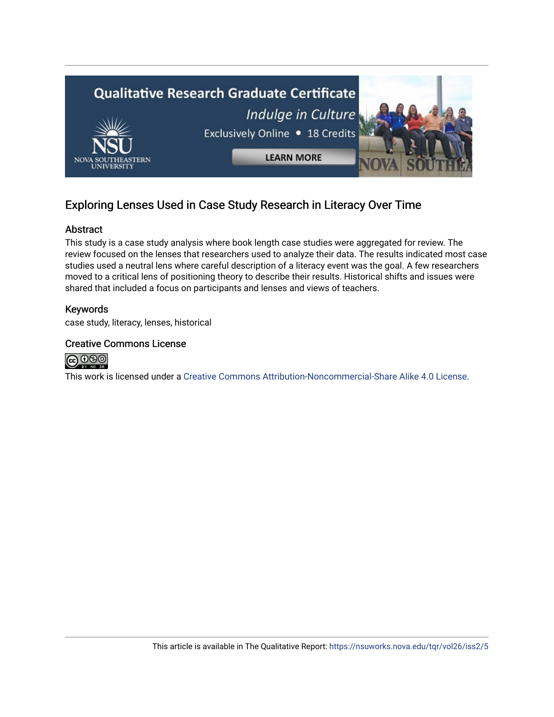

## Exploring Lenses Used in Case Study Research in Literacy Over Time

## Abstract

This study is a case study analysis where book length case studies were aggregated for review. The review focused on the lenses that researchers used to analyze their data. The results indicated most case studies used a neutral lens where careful description of a literacy event was the goal. A few researchers moved to a critical lens of positioning theory to describe their results. Historical shifts and issues were shared that included a focus on participants and lenses and views of teachers.

## Keywords

case study, literacy, lenses, historical

### Creative Commons License



This work is licensed under a [Creative Commons Attribution-Noncommercial-Share Alike 4.0 License](https://creativecommons.org/licenses/by-nc-sa/4.0/).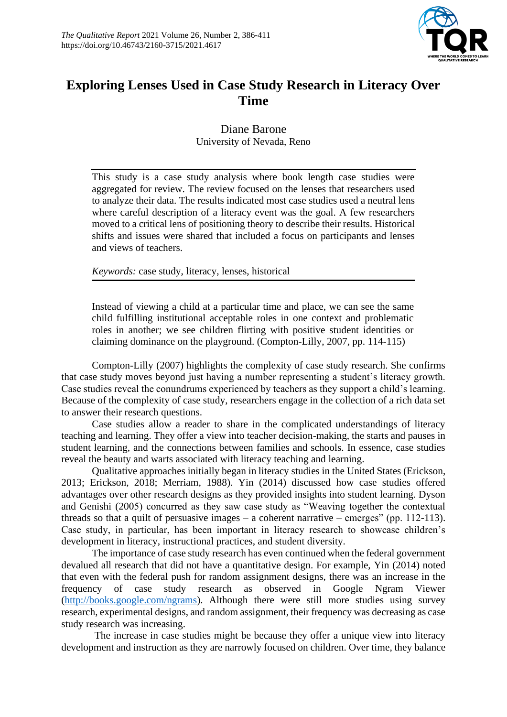

## **Exploring Lenses Used in Case Study Research in Literacy Over Time**

Diane Barone University of Nevada, Reno

This study is a case study analysis where book length case studies were aggregated for review. The review focused on the lenses that researchers used to analyze their data. The results indicated most case studies used a neutral lens where careful description of a literacy event was the goal. A few researchers moved to a critical lens of positioning theory to describe their results. Historical shifts and issues were shared that included a focus on participants and lenses and views of teachers.

*Keywords:* case study, literacy, lenses, historical

Instead of viewing a child at a particular time and place, we can see the same child fulfilling institutional acceptable roles in one context and problematic roles in another; we see children flirting with positive student identities or claiming dominance on the playground. (Compton-Lilly, 2007, pp. 114-115)

Compton-Lilly (2007) highlights the complexity of case study research. She confirms that case study moves beyond just having a number representing a student's literacy growth. Case studies reveal the conundrums experienced by teachers as they support a child's learning. Because of the complexity of case study, researchers engage in the collection of a rich data set to answer their research questions.

Case studies allow a reader to share in the complicated understandings of literacy teaching and learning. They offer a view into teacher decision-making, the starts and pauses in student learning, and the connections between families and schools. In essence, case studies reveal the beauty and warts associated with literacy teaching and learning.

Qualitative approaches initially began in literacy studies in the United States (Erickson, 2013; Erickson, 2018; Merriam, 1988). Yin (2014) discussed how case studies offered advantages over other research designs as they provided insights into student learning. Dyson and Genishi (2005) concurred as they saw case study as "Weaving together the contextual threads so that a quilt of persuasive images – a coherent narrative – emerges" (pp. 112-113). Case study, in particular, has been important in literacy research to showcase children's development in literacy, instructional practices, and student diversity.

The importance of case study research has even continued when the federal government devalued all research that did not have a quantitative design. For example, Yin (2014) noted that even with the federal push for random assignment designs, there was an increase in the frequency of case study research as observed in Google Ngram Viewer [\(http://books.google.com/ngrams\)](http://books.google.com/ngrams). Although there were still more studies using survey research, experimental designs, and random assignment, their frequency was decreasing as case study research was increasing.

The increase in case studies might be because they offer a unique view into literacy development and instruction as they are narrowly focused on children. Over time, they balance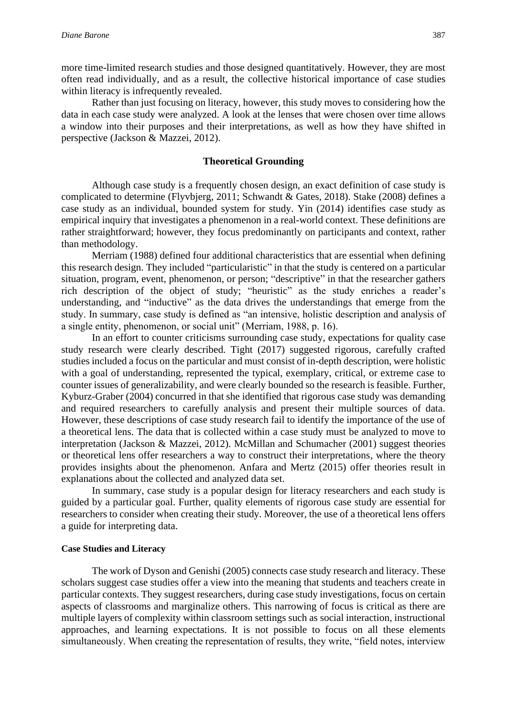more time-limited research studies and those designed quantitatively. However, they are most often read individually, and as a result, the collective historical importance of case studies within literacy is infrequently revealed.

Rather than just focusing on literacy, however, this study moves to considering how the data in each case study were analyzed. A look at the lenses that were chosen over time allows a window into their purposes and their interpretations, as well as how they have shifted in perspective (Jackson & Mazzei, 2012).

#### **Theoretical Grounding**

Although case study is a frequently chosen design, an exact definition of case study is complicated to determine (Flyvbjerg, 2011; Schwandt & Gates, 2018). Stake (2008) defines a case study as an individual, bounded system for study. Yin (2014) identifies case study as empirical inquiry that investigates a phenomenon in a real-world context. These definitions are rather straightforward; however, they focus predominantly on participants and context, rather than methodology.

Merriam (1988) defined four additional characteristics that are essential when defining this research design. They included "particularistic" in that the study is centered on a particular situation, program, event, phenomenon, or person; "descriptive" in that the researcher gathers rich description of the object of study; "heuristic" as the study enriches a reader's understanding, and "inductive" as the data drives the understandings that emerge from the study. In summary, case study is defined as "an intensive, holistic description and analysis of a single entity, phenomenon, or social unit" (Merriam, 1988, p. 16).

In an effort to counter criticisms surrounding case study, expectations for quality case study research were clearly described. Tight (2017) suggested rigorous, carefully crafted studies included a focus on the particular and must consist of in-depth description, were holistic with a goal of understanding, represented the typical, exemplary, critical, or extreme case to counter issues of generalizability, and were clearly bounded so the research is feasible. Further, Kyburz-Graber (2004) concurred in that she identified that rigorous case study was demanding and required researchers to carefully analysis and present their multiple sources of data. However, these descriptions of case study research fail to identify the importance of the use of a theoretical lens. The data that is collected within a case study must be analyzed to move to interpretation (Jackson & Mazzei, 2012). McMillan and Schumacher (2001) suggest theories or theoretical lens offer researchers a way to construct their interpretations, where the theory provides insights about the phenomenon. Anfara and Mertz (2015) offer theories result in explanations about the collected and analyzed data set.

In summary, case study is a popular design for literacy researchers and each study is guided by a particular goal. Further, quality elements of rigorous case study are essential for researchers to consider when creating their study. Moreover, the use of a theoretical lens offers a guide for interpreting data.

#### **Case Studies and Literacy**

The work of Dyson and Genishi (2005) connects case study research and literacy. These scholars suggest case studies offer a view into the meaning that students and teachers create in particular contexts. They suggest researchers, during case study investigations, focus on certain aspects of classrooms and marginalize others. This narrowing of focus is critical as there are multiple layers of complexity within classroom settings such as social interaction, instructional approaches, and learning expectations. It is not possible to focus on all these elements simultaneously. When creating the representation of results, they write, "field notes, interview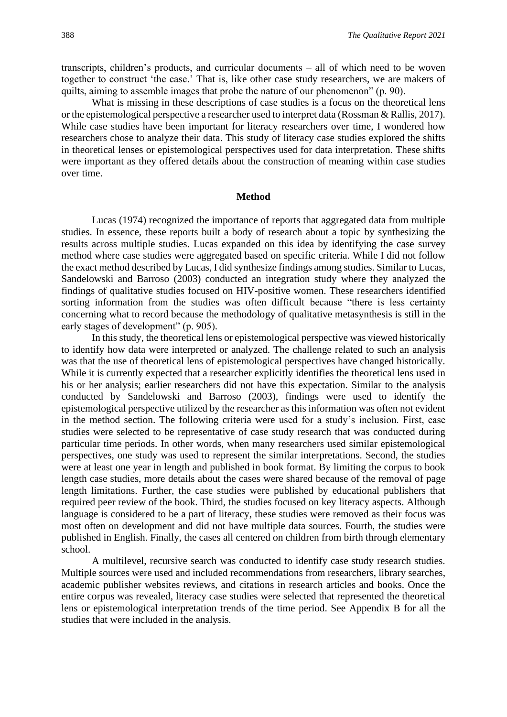transcripts, children's products, and curricular documents – all of which need to be woven together to construct 'the case.' That is, like other case study researchers, we are makers of quilts, aiming to assemble images that probe the nature of our phenomenon" (p. 90).

What is missing in these descriptions of case studies is a focus on the theoretical lens or the epistemological perspective a researcher used to interpret data (Rossman & Rallis, 2017). While case studies have been important for literacy researchers over time, I wondered how researchers chose to analyze their data. This study of literacy case studies explored the shifts in theoretical lenses or epistemological perspectives used for data interpretation. These shifts were important as they offered details about the construction of meaning within case studies over time.

#### **Method**

Lucas (1974) recognized the importance of reports that aggregated data from multiple studies. In essence, these reports built a body of research about a topic by synthesizing the results across multiple studies. Lucas expanded on this idea by identifying the case survey method where case studies were aggregated based on specific criteria. While I did not follow the exact method described by Lucas, I did synthesize findings among studies. Similar to Lucas, Sandelowski and Barroso (2003) conducted an integration study where they analyzed the findings of qualitative studies focused on HIV-positive women. These researchers identified sorting information from the studies was often difficult because "there is less certainty concerning what to record because the methodology of qualitative metasynthesis is still in the early stages of development" (p. 905).

In this study, the theoretical lens or epistemological perspective was viewed historically to identify how data were interpreted or analyzed. The challenge related to such an analysis was that the use of theoretical lens of epistemological perspectives have changed historically. While it is currently expected that a researcher explicitly identifies the theoretical lens used in his or her analysis; earlier researchers did not have this expectation. Similar to the analysis conducted by Sandelowski and Barroso (2003), findings were used to identify the epistemological perspective utilized by the researcher as this information was often not evident in the method section. The following criteria were used for a study's inclusion. First, case studies were selected to be representative of case study research that was conducted during particular time periods. In other words, when many researchers used similar epistemological perspectives, one study was used to represent the similar interpretations. Second, the studies were at least one year in length and published in book format. By limiting the corpus to book length case studies, more details about the cases were shared because of the removal of page length limitations. Further, the case studies were published by educational publishers that required peer review of the book. Third, the studies focused on key literacy aspects. Although language is considered to be a part of literacy, these studies were removed as their focus was most often on development and did not have multiple data sources. Fourth, the studies were published in English. Finally, the cases all centered on children from birth through elementary school.

A multilevel, recursive search was conducted to identify case study research studies. Multiple sources were used and included recommendations from researchers, library searches, academic publisher websites reviews, and citations in research articles and books. Once the entire corpus was revealed, literacy case studies were selected that represented the theoretical lens or epistemological interpretation trends of the time period. See Appendix B for all the studies that were included in the analysis.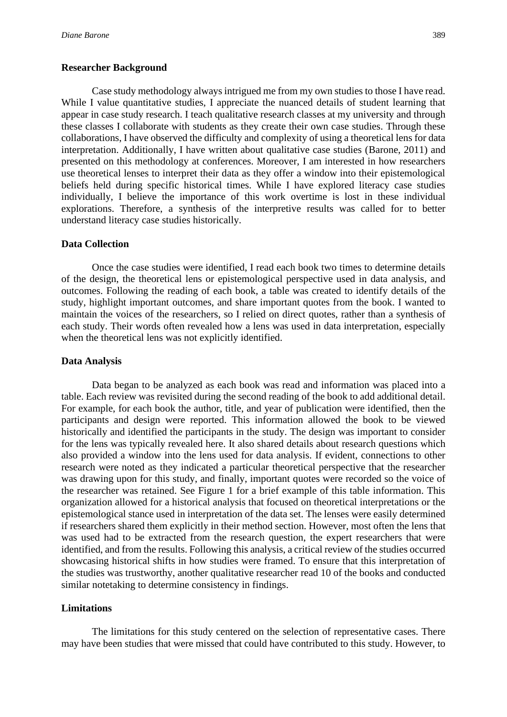#### **Researcher Background**

Case study methodology always intrigued me from my own studies to those I have read. While I value quantitative studies, I appreciate the nuanced details of student learning that appear in case study research. I teach qualitative research classes at my university and through these classes I collaborate with students as they create their own case studies. Through these collaborations, I have observed the difficulty and complexity of using a theoretical lens for data interpretation. Additionally, I have written about qualitative case studies (Barone, 2011) and presented on this methodology at conferences. Moreover, I am interested in how researchers use theoretical lenses to interpret their data as they offer a window into their epistemological beliefs held during specific historical times. While I have explored literacy case studies individually, I believe the importance of this work overtime is lost in these individual explorations. Therefore, a synthesis of the interpretive results was called for to better understand literacy case studies historically.

#### **Data Collection**

Once the case studies were identified, I read each book two times to determine details of the design, the theoretical lens or epistemological perspective used in data analysis, and outcomes. Following the reading of each book, a table was created to identify details of the study, highlight important outcomes, and share important quotes from the book. I wanted to maintain the voices of the researchers, so I relied on direct quotes, rather than a synthesis of each study. Their words often revealed how a lens was used in data interpretation, especially when the theoretical lens was not explicitly identified.

#### **Data Analysis**

Data began to be analyzed as each book was read and information was placed into a table. Each review was revisited during the second reading of the book to add additional detail. For example, for each book the author, title, and year of publication were identified, then the participants and design were reported. This information allowed the book to be viewed historically and identified the participants in the study. The design was important to consider for the lens was typically revealed here. It also shared details about research questions which also provided a window into the lens used for data analysis. If evident, connections to other research were noted as they indicated a particular theoretical perspective that the researcher was drawing upon for this study, and finally, important quotes were recorded so the voice of the researcher was retained. See Figure 1 for a brief example of this table information. This organization allowed for a historical analysis that focused on theoretical interpretations or the epistemological stance used in interpretation of the data set. The lenses were easily determined if researchers shared them explicitly in their method section. However, most often the lens that was used had to be extracted from the research question, the expert researchers that were identified, and from the results. Following this analysis, a critical review of the studies occurred showcasing historical shifts in how studies were framed. To ensure that this interpretation of the studies was trustworthy, another qualitative researcher read 10 of the books and conducted similar notetaking to determine consistency in findings.

#### **Limitations**

The limitations for this study centered on the selection of representative cases. There may have been studies that were missed that could have contributed to this study. However, to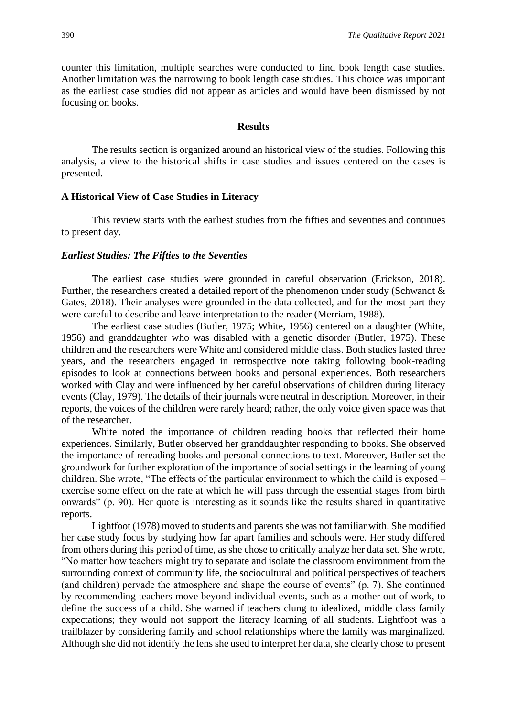counter this limitation, multiple searches were conducted to find book length case studies. Another limitation was the narrowing to book length case studies. This choice was important as the earliest case studies did not appear as articles and would have been dismissed by not focusing on books.

#### **Results**

The results section is organized around an historical view of the studies. Following this analysis, a view to the historical shifts in case studies and issues centered on the cases is presented.

#### **A Historical View of Case Studies in Literacy**

This review starts with the earliest studies from the fifties and seventies and continues to present day.

#### *Earliest Studies: The Fifties to the Seventies*

The earliest case studies were grounded in careful observation (Erickson, 2018). Further, the researchers created a detailed report of the phenomenon under study (Schwandt & Gates, 2018). Their analyses were grounded in the data collected, and for the most part they were careful to describe and leave interpretation to the reader (Merriam, 1988).

The earliest case studies (Butler, 1975; White, 1956) centered on a daughter (White, 1956) and granddaughter who was disabled with a genetic disorder (Butler, 1975). These children and the researchers were White and considered middle class. Both studies lasted three years, and the researchers engaged in retrospective note taking following book-reading episodes to look at connections between books and personal experiences. Both researchers worked with Clay and were influenced by her careful observations of children during literacy events (Clay, 1979). The details of their journals were neutral in description. Moreover, in their reports, the voices of the children were rarely heard; rather, the only voice given space was that of the researcher.

White noted the importance of children reading books that reflected their home experiences. Similarly, Butler observed her granddaughter responding to books. She observed the importance of rereading books and personal connections to text. Moreover, Butler set the groundwork for further exploration of the importance of social settings in the learning of young children. She wrote, "The effects of the particular environment to which the child is exposed – exercise some effect on the rate at which he will pass through the essential stages from birth onwards" (p. 90). Her quote is interesting as it sounds like the results shared in quantitative reports.

Lightfoot (1978) moved to students and parents she was not familiar with. She modified her case study focus by studying how far apart families and schools were. Her study differed from others during this period of time, as she chose to critically analyze her data set. She wrote, "No matter how teachers might try to separate and isolate the classroom environment from the surrounding context of community life, the sociocultural and political perspectives of teachers (and children) pervade the atmosphere and shape the course of events" (p. 7). She continued by recommending teachers move beyond individual events, such as a mother out of work, to define the success of a child. She warned if teachers clung to idealized, middle class family expectations; they would not support the literacy learning of all students. Lightfoot was a trailblazer by considering family and school relationships where the family was marginalized. Although she did not identify the lens she used to interpret her data, she clearly chose to present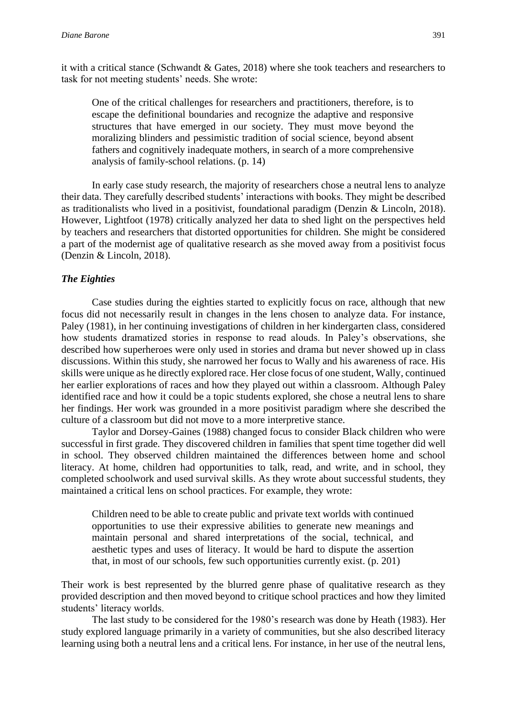it with a critical stance (Schwandt & Gates, 2018) where she took teachers and researchers to task for not meeting students' needs. She wrote:

One of the critical challenges for researchers and practitioners, therefore, is to escape the definitional boundaries and recognize the adaptive and responsive structures that have emerged in our society. They must move beyond the moralizing blinders and pessimistic tradition of social science, beyond absent fathers and cognitively inadequate mothers, in search of a more comprehensive analysis of family-school relations. (p. 14)

In early case study research, the majority of researchers chose a neutral lens to analyze their data. They carefully described students' interactions with books. They might be described as traditionalists who lived in a positivist, foundational paradigm (Denzin & Lincoln, 2018). However, Lightfoot (1978) critically analyzed her data to shed light on the perspectives held by teachers and researchers that distorted opportunities for children. She might be considered a part of the modernist age of qualitative research as she moved away from a positivist focus (Denzin & Lincoln, 2018).

#### *The Eighties*

Case studies during the eighties started to explicitly focus on race, although that new focus did not necessarily result in changes in the lens chosen to analyze data. For instance, Paley (1981), in her continuing investigations of children in her kindergarten class, considered how students dramatized stories in response to read alouds. In Paley's observations, she described how superheroes were only used in stories and drama but never showed up in class discussions. Within this study, she narrowed her focus to Wally and his awareness of race. His skills were unique as he directly explored race. Her close focus of one student, Wally, continued her earlier explorations of races and how they played out within a classroom. Although Paley identified race and how it could be a topic students explored, she chose a neutral lens to share her findings. Her work was grounded in a more positivist paradigm where she described the culture of a classroom but did not move to a more interpretive stance.

Taylor and Dorsey-Gaines (1988) changed focus to consider Black children who were successful in first grade. They discovered children in families that spent time together did well in school. They observed children maintained the differences between home and school literacy. At home, children had opportunities to talk, read, and write, and in school, they completed schoolwork and used survival skills. As they wrote about successful students, they maintained a critical lens on school practices. For example, they wrote:

Children need to be able to create public and private text worlds with continued opportunities to use their expressive abilities to generate new meanings and maintain personal and shared interpretations of the social, technical, and aesthetic types and uses of literacy. It would be hard to dispute the assertion that, in most of our schools, few such opportunities currently exist. (p. 201)

Their work is best represented by the blurred genre phase of qualitative research as they provided description and then moved beyond to critique school practices and how they limited students' literacy worlds.

The last study to be considered for the 1980's research was done by Heath (1983). Her study explored language primarily in a variety of communities, but she also described literacy learning using both a neutral lens and a critical lens. For instance, in her use of the neutral lens,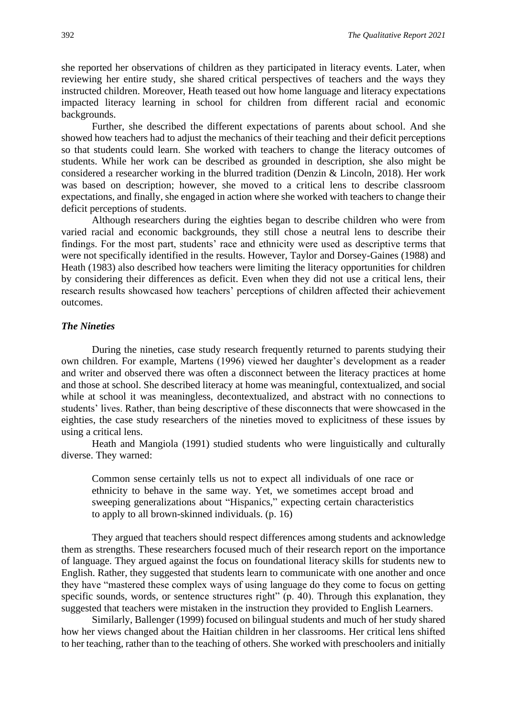she reported her observations of children as they participated in literacy events. Later, when reviewing her entire study, she shared critical perspectives of teachers and the ways they instructed children. Moreover, Heath teased out how home language and literacy expectations impacted literacy learning in school for children from different racial and economic backgrounds.

Further, she described the different expectations of parents about school. And she showed how teachers had to adjust the mechanics of their teaching and their deficit perceptions so that students could learn. She worked with teachers to change the literacy outcomes of students. While her work can be described as grounded in description, she also might be considered a researcher working in the blurred tradition (Denzin & Lincoln, 2018). Her work was based on description; however, she moved to a critical lens to describe classroom expectations, and finally, she engaged in action where she worked with teachers to change their deficit perceptions of students.

Although researchers during the eighties began to describe children who were from varied racial and economic backgrounds, they still chose a neutral lens to describe their findings. For the most part, students' race and ethnicity were used as descriptive terms that were not specifically identified in the results. However, Taylor and Dorsey-Gaines (1988) and Heath (1983) also described how teachers were limiting the literacy opportunities for children by considering their differences as deficit. Even when they did not use a critical lens, their research results showcased how teachers' perceptions of children affected their achievement outcomes.

### *The Nineties*

During the nineties, case study research frequently returned to parents studying their own children. For example, Martens (1996) viewed her daughter's development as a reader and writer and observed there was often a disconnect between the literacy practices at home and those at school. She described literacy at home was meaningful, contextualized, and social while at school it was meaningless, decontextualized, and abstract with no connections to students' lives. Rather, than being descriptive of these disconnects that were showcased in the eighties, the case study researchers of the nineties moved to explicitness of these issues by using a critical lens.

Heath and Mangiola (1991) studied students who were linguistically and culturally diverse. They warned:

Common sense certainly tells us not to expect all individuals of one race or ethnicity to behave in the same way. Yet, we sometimes accept broad and sweeping generalizations about "Hispanics," expecting certain characteristics to apply to all brown-skinned individuals. (p. 16)

They argued that teachers should respect differences among students and acknowledge them as strengths. These researchers focused much of their research report on the importance of language. They argued against the focus on foundational literacy skills for students new to English. Rather, they suggested that students learn to communicate with one another and once they have "mastered these complex ways of using language do they come to focus on getting specific sounds, words, or sentence structures right" (p. 40). Through this explanation, they suggested that teachers were mistaken in the instruction they provided to English Learners.

Similarly, Ballenger (1999) focused on bilingual students and much of her study shared how her views changed about the Haitian children in her classrooms. Her critical lens shifted to her teaching, rather than to the teaching of others. She worked with preschoolers and initially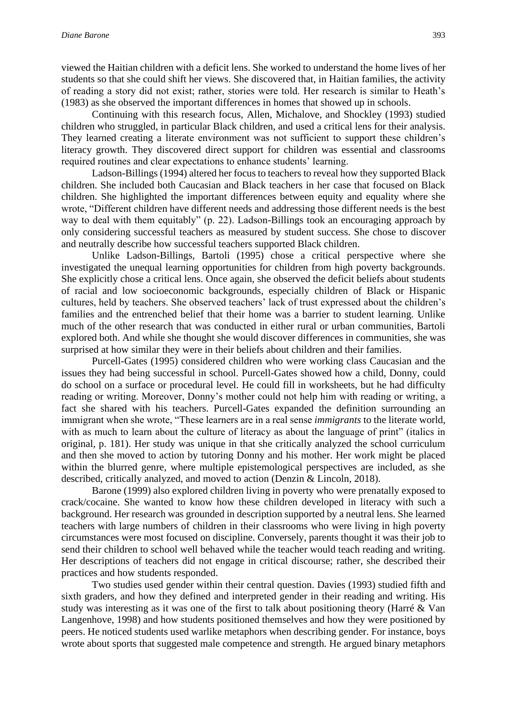viewed the Haitian children with a deficit lens. She worked to understand the home lives of her students so that she could shift her views. She discovered that, in Haitian families, the activity of reading a story did not exist; rather, stories were told. Her research is similar to Heath's (1983) as she observed the important differences in homes that showed up in schools.

Continuing with this research focus, Allen, Michalove, and Shockley (1993) studied children who struggled, in particular Black children, and used a critical lens for their analysis. They learned creating a literate environment was not sufficient to support these children's literacy growth. They discovered direct support for children was essential and classrooms required routines and clear expectations to enhance students' learning.

Ladson-Billings (1994) altered her focus to teachers to reveal how they supported Black children. She included both Caucasian and Black teachers in her case that focused on Black children. She highlighted the important differences between equity and equality where she wrote, "Different children have different needs and addressing those different needs is the best way to deal with them equitably" (p. 22). Ladson-Billings took an encouraging approach by only considering successful teachers as measured by student success. She chose to discover and neutrally describe how successful teachers supported Black children.

Unlike Ladson-Billings, Bartoli (1995) chose a critical perspective where she investigated the unequal learning opportunities for children from high poverty backgrounds. She explicitly chose a critical lens. Once again, she observed the deficit beliefs about students of racial and low socioeconomic backgrounds, especially children of Black or Hispanic cultures, held by teachers. She observed teachers' lack of trust expressed about the children's families and the entrenched belief that their home was a barrier to student learning. Unlike much of the other research that was conducted in either rural or urban communities, Bartoli explored both. And while she thought she would discover differences in communities, she was surprised at how similar they were in their beliefs about children and their families.

Purcell-Gates (1995) considered children who were working class Caucasian and the issues they had being successful in school. Purcell-Gates showed how a child, Donny, could do school on a surface or procedural level. He could fill in worksheets, but he had difficulty reading or writing. Moreover, Donny's mother could not help him with reading or writing, a fact she shared with his teachers. Purcell-Gates expanded the definition surrounding an immigrant when she wrote, "These learners are in a real sense *immigrants* to the literate world, with as much to learn about the culture of literacy as about the language of print" (italics in original, p. 181). Her study was unique in that she critically analyzed the school curriculum and then she moved to action by tutoring Donny and his mother. Her work might be placed within the blurred genre, where multiple epistemological perspectives are included, as she described, critically analyzed, and moved to action (Denzin & Lincoln, 2018).

Barone (1999) also explored children living in poverty who were prenatally exposed to crack/cocaine. She wanted to know how these children developed in literacy with such a background. Her research was grounded in description supported by a neutral lens. She learned teachers with large numbers of children in their classrooms who were living in high poverty circumstances were most focused on discipline. Conversely, parents thought it was their job to send their children to school well behaved while the teacher would teach reading and writing. Her descriptions of teachers did not engage in critical discourse; rather, she described their practices and how students responded.

Two studies used gender within their central question. Davies (1993) studied fifth and sixth graders, and how they defined and interpreted gender in their reading and writing. His study was interesting as it was one of the first to talk about positioning theory (Harré & Van Langenhove, 1998) and how students positioned themselves and how they were positioned by peers. He noticed students used warlike metaphors when describing gender. For instance, boys wrote about sports that suggested male competence and strength. He argued binary metaphors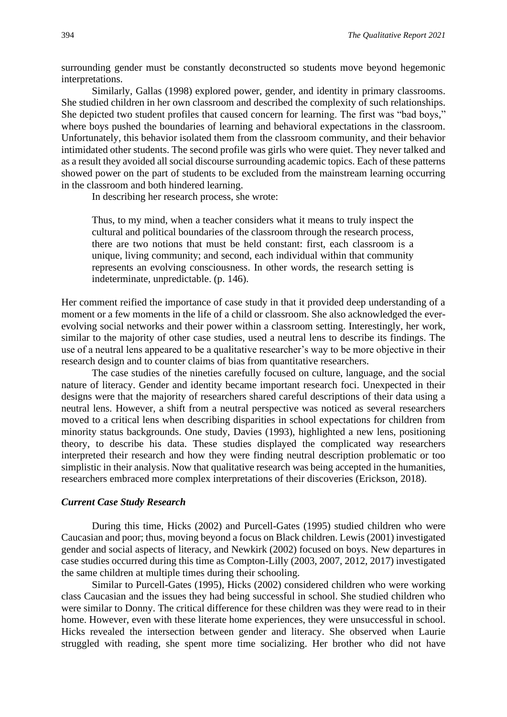surrounding gender must be constantly deconstructed so students move beyond hegemonic interpretations.

Similarly, Gallas (1998) explored power, gender, and identity in primary classrooms. She studied children in her own classroom and described the complexity of such relationships. She depicted two student profiles that caused concern for learning. The first was "bad boys," where boys pushed the boundaries of learning and behavioral expectations in the classroom. Unfortunately, this behavior isolated them from the classroom community, and their behavior intimidated other students. The second profile was girls who were quiet. They never talked and as a result they avoided all social discourse surrounding academic topics. Each of these patterns showed power on the part of students to be excluded from the mainstream learning occurring in the classroom and both hindered learning.

In describing her research process, she wrote:

Thus, to my mind, when a teacher considers what it means to truly inspect the cultural and political boundaries of the classroom through the research process, there are two notions that must be held constant: first, each classroom is a unique, living community; and second, each individual within that community represents an evolving consciousness. In other words, the research setting is indeterminate, unpredictable. (p. 146).

Her comment reified the importance of case study in that it provided deep understanding of a moment or a few moments in the life of a child or classroom. She also acknowledged the everevolving social networks and their power within a classroom setting. Interestingly, her work, similar to the majority of other case studies, used a neutral lens to describe its findings. The use of a neutral lens appeared to be a qualitative researcher's way to be more objective in their research design and to counter claims of bias from quantitative researchers.

The case studies of the nineties carefully focused on culture, language, and the social nature of literacy. Gender and identity became important research foci. Unexpected in their designs were that the majority of researchers shared careful descriptions of their data using a neutral lens. However, a shift from a neutral perspective was noticed as several researchers moved to a critical lens when describing disparities in school expectations for children from minority status backgrounds. One study, Davies (1993), highlighted a new lens, positioning theory, to describe his data. These studies displayed the complicated way researchers interpreted their research and how they were finding neutral description problematic or too simplistic in their analysis. Now that qualitative research was being accepted in the humanities, researchers embraced more complex interpretations of their discoveries (Erickson, 2018).

#### *Current Case Study Research*

During this time, Hicks (2002) and Purcell-Gates (1995) studied children who were Caucasian and poor; thus, moving beyond a focus on Black children. Lewis (2001) investigated gender and social aspects of literacy, and Newkirk (2002) focused on boys. New departures in case studies occurred during this time as Compton-Lilly (2003, 2007, 2012, 2017) investigated the same children at multiple times during their schooling.

Similar to Purcell-Gates (1995), Hicks (2002) considered children who were working class Caucasian and the issues they had being successful in school. She studied children who were similar to Donny. The critical difference for these children was they were read to in their home. However, even with these literate home experiences, they were unsuccessful in school. Hicks revealed the intersection between gender and literacy. She observed when Laurie struggled with reading, she spent more time socializing. Her brother who did not have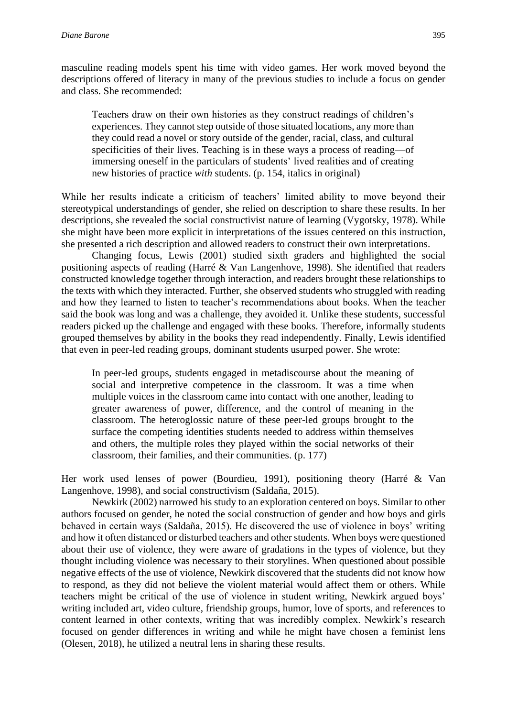masculine reading models spent his time with video games. Her work moved beyond the descriptions offered of literacy in many of the previous studies to include a focus on gender and class. She recommended:

Teachers draw on their own histories as they construct readings of children's experiences. They cannot step outside of those situated locations, any more than they could read a novel or story outside of the gender, racial, class, and cultural specificities of their lives. Teaching is in these ways a process of reading—of immersing oneself in the particulars of students' lived realities and of creating new histories of practice *with* students. (p. 154, italics in original)

While her results indicate a criticism of teachers' limited ability to move beyond their stereotypical understandings of gender, she relied on description to share these results. In her descriptions, she revealed the social constructivist nature of learning (Vygotsky, 1978). While she might have been more explicit in interpretations of the issues centered on this instruction, she presented a rich description and allowed readers to construct their own interpretations.

Changing focus, Lewis (2001) studied sixth graders and highlighted the social positioning aspects of reading (Harré & Van Langenhove, 1998). She identified that readers constructed knowledge together through interaction, and readers brought these relationships to the texts with which they interacted. Further, she observed students who struggled with reading and how they learned to listen to teacher's recommendations about books. When the teacher said the book was long and was a challenge, they avoided it. Unlike these students, successful readers picked up the challenge and engaged with these books. Therefore, informally students grouped themselves by ability in the books they read independently. Finally, Lewis identified that even in peer-led reading groups, dominant students usurped power. She wrote:

In peer-led groups, students engaged in metadiscourse about the meaning of social and interpretive competence in the classroom. It was a time when multiple voices in the classroom came into contact with one another, leading to greater awareness of power, difference, and the control of meaning in the classroom. The heteroglossic nature of these peer-led groups brought to the surface the competing identities students needed to address within themselves and others, the multiple roles they played within the social networks of their classroom, their families, and their communities. (p. 177)

Her work used lenses of power (Bourdieu, 1991), positioning theory (Harré & Van Langenhove, 1998), and social constructivism (Saldaña, 2015).

Newkirk (2002) narrowed his study to an exploration centered on boys. Similar to other authors focused on gender, he noted the social construction of gender and how boys and girls behaved in certain ways (Saldaña, 2015). He discovered the use of violence in boys' writing and how it often distanced or disturbed teachers and other students. When boys were questioned about their use of violence, they were aware of gradations in the types of violence, but they thought including violence was necessary to their storylines. When questioned about possible negative effects of the use of violence, Newkirk discovered that the students did not know how to respond, as they did not believe the violent material would affect them or others. While teachers might be critical of the use of violence in student writing, Newkirk argued boys' writing included art, video culture, friendship groups, humor, love of sports, and references to content learned in other contexts, writing that was incredibly complex. Newkirk's research focused on gender differences in writing and while he might have chosen a feminist lens (Olesen, 2018), he utilized a neutral lens in sharing these results.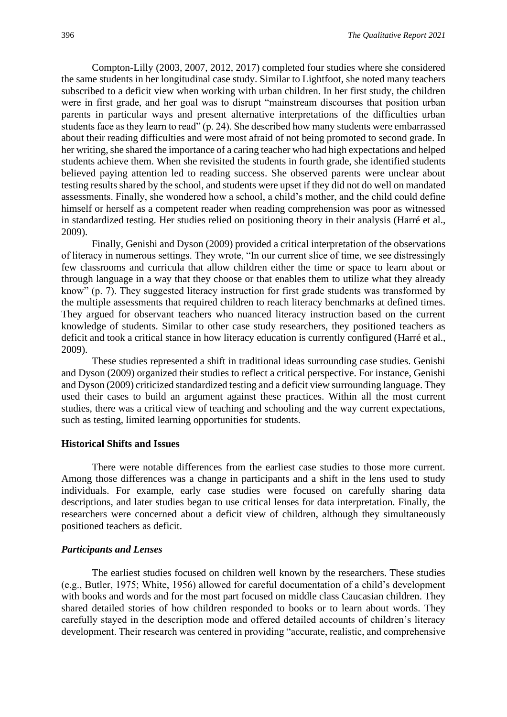Compton-Lilly (2003, 2007, 2012, 2017) completed four studies where she considered the same students in her longitudinal case study. Similar to Lightfoot, she noted many teachers subscribed to a deficit view when working with urban children. In her first study, the children were in first grade, and her goal was to disrupt "mainstream discourses that position urban parents in particular ways and present alternative interpretations of the difficulties urban students face as they learn to read" (p. 24). She described how many students were embarrassed about their reading difficulties and were most afraid of not being promoted to second grade. In her writing, she shared the importance of a caring teacher who had high expectations and helped students achieve them. When she revisited the students in fourth grade, she identified students believed paying attention led to reading success. She observed parents were unclear about testing results shared by the school, and students were upset if they did not do well on mandated assessments. Finally, she wondered how a school, a child's mother, and the child could define himself or herself as a competent reader when reading comprehension was poor as witnessed in standardized testing. Her studies relied on positioning theory in their analysis (Harré et al., 2009).

Finally, Genishi and Dyson (2009) provided a critical interpretation of the observations of literacy in numerous settings. They wrote, "In our current slice of time, we see distressingly few classrooms and curricula that allow children either the time or space to learn about or through language in a way that they choose or that enables them to utilize what they already know" (p. 7). They suggested literacy instruction for first grade students was transformed by the multiple assessments that required children to reach literacy benchmarks at defined times. They argued for observant teachers who nuanced literacy instruction based on the current knowledge of students. Similar to other case study researchers, they positioned teachers as deficit and took a critical stance in how literacy education is currently configured (Harré et al., 2009).

These studies represented a shift in traditional ideas surrounding case studies. Genishi and Dyson (2009) organized their studies to reflect a critical perspective. For instance, Genishi and Dyson (2009) criticized standardized testing and a deficit view surrounding language. They used their cases to build an argument against these practices. Within all the most current studies, there was a critical view of teaching and schooling and the way current expectations, such as testing, limited learning opportunities for students.

#### **Historical Shifts and Issues**

There were notable differences from the earliest case studies to those more current. Among those differences was a change in participants and a shift in the lens used to study individuals. For example, early case studies were focused on carefully sharing data descriptions, and later studies began to use critical lenses for data interpretation. Finally, the researchers were concerned about a deficit view of children, although they simultaneously positioned teachers as deficit.

#### *Participants and Lenses*

The earliest studies focused on children well known by the researchers. These studies (e.g., Butler, 1975; White, 1956) allowed for careful documentation of a child's development with books and words and for the most part focused on middle class Caucasian children. They shared detailed stories of how children responded to books or to learn about words. They carefully stayed in the description mode and offered detailed accounts of children's literacy development. Their research was centered in providing "accurate, realistic, and comprehensive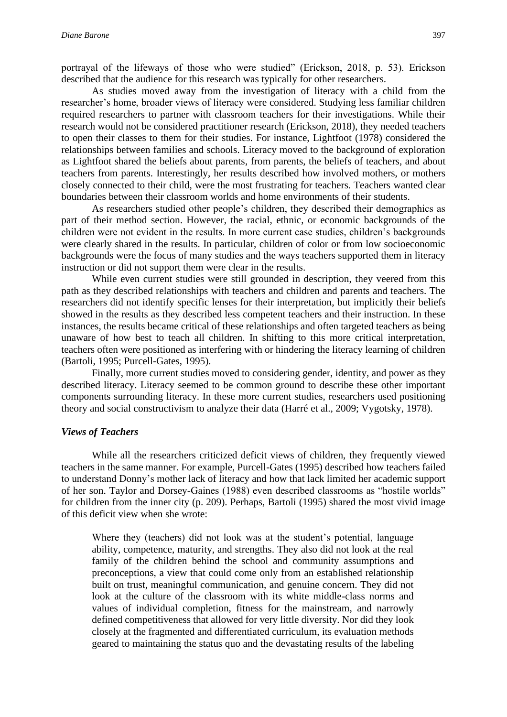portrayal of the lifeways of those who were studied" (Erickson, 2018, p. 53). Erickson described that the audience for this research was typically for other researchers.

As studies moved away from the investigation of literacy with a child from the researcher's home, broader views of literacy were considered. Studying less familiar children required researchers to partner with classroom teachers for their investigations. While their research would not be considered practitioner research (Erickson, 2018), they needed teachers to open their classes to them for their studies. For instance, Lightfoot (1978) considered the relationships between families and schools. Literacy moved to the background of exploration as Lightfoot shared the beliefs about parents, from parents, the beliefs of teachers, and about teachers from parents. Interestingly, her results described how involved mothers, or mothers closely connected to their child, were the most frustrating for teachers. Teachers wanted clear boundaries between their classroom worlds and home environments of their students.

As researchers studied other people's children, they described their demographics as part of their method section. However, the racial, ethnic, or economic backgrounds of the children were not evident in the results. In more current case studies, children's backgrounds were clearly shared in the results. In particular, children of color or from low socioeconomic backgrounds were the focus of many studies and the ways teachers supported them in literacy instruction or did not support them were clear in the results.

While even current studies were still grounded in description, they veered from this path as they described relationships with teachers and children and parents and teachers. The researchers did not identify specific lenses for their interpretation, but implicitly their beliefs showed in the results as they described less competent teachers and their instruction. In these instances, the results became critical of these relationships and often targeted teachers as being unaware of how best to teach all children. In shifting to this more critical interpretation, teachers often were positioned as interfering with or hindering the literacy learning of children (Bartoli, 1995; Purcell-Gates, 1995).

Finally, more current studies moved to considering gender, identity, and power as they described literacy. Literacy seemed to be common ground to describe these other important components surrounding literacy. In these more current studies, researchers used positioning theory and social constructivism to analyze their data (Harré et al., 2009; Vygotsky, 1978).

#### *Views of Teachers*

While all the researchers criticized deficit views of children, they frequently viewed teachers in the same manner. For example, Purcell-Gates (1995) described how teachers failed to understand Donny's mother lack of literacy and how that lack limited her academic support of her son. Taylor and Dorsey-Gaines (1988) even described classrooms as "hostile worlds" for children from the inner city (p. 209). Perhaps, Bartoli (1995) shared the most vivid image of this deficit view when she wrote:

Where they (teachers) did not look was at the student's potential, language ability, competence, maturity, and strengths. They also did not look at the real family of the children behind the school and community assumptions and preconceptions, a view that could come only from an established relationship built on trust, meaningful communication, and genuine concern. They did not look at the culture of the classroom with its white middle-class norms and values of individual completion, fitness for the mainstream, and narrowly defined competitiveness that allowed for very little diversity. Nor did they look closely at the fragmented and differentiated curriculum, its evaluation methods geared to maintaining the status quo and the devastating results of the labeling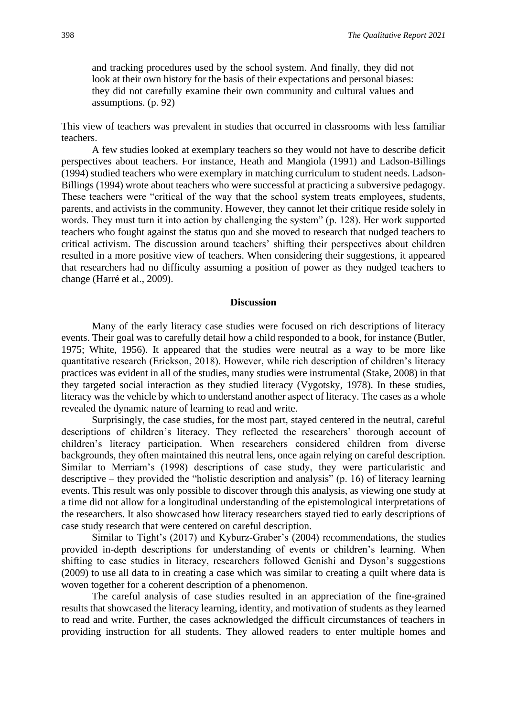and tracking procedures used by the school system. And finally, they did not look at their own history for the basis of their expectations and personal biases: they did not carefully examine their own community and cultural values and assumptions. (p. 92)

This view of teachers was prevalent in studies that occurred in classrooms with less familiar teachers.

A few studies looked at exemplary teachers so they would not have to describe deficit perspectives about teachers. For instance, Heath and Mangiola (1991) and Ladson-Billings (1994) studied teachers who were exemplary in matching curriculum to student needs. Ladson-Billings (1994) wrote about teachers who were successful at practicing a subversive pedagogy. These teachers were "critical of the way that the school system treats employees, students, parents, and activists in the community. However, they cannot let their critique reside solely in words. They must turn it into action by challenging the system" (p. 128). Her work supported teachers who fought against the status quo and she moved to research that nudged teachers to critical activism. The discussion around teachers' shifting their perspectives about children resulted in a more positive view of teachers. When considering their suggestions, it appeared that researchers had no difficulty assuming a position of power as they nudged teachers to change (Harré et al., 2009).

#### **Discussion**

Many of the early literacy case studies were focused on rich descriptions of literacy events. Their goal was to carefully detail how a child responded to a book, for instance (Butler, 1975; White, 1956). It appeared that the studies were neutral as a way to be more like quantitative research (Erickson, 2018). However, while rich description of children's literacy practices was evident in all of the studies, many studies were instrumental (Stake, 2008) in that they targeted social interaction as they studied literacy (Vygotsky, 1978). In these studies, literacy was the vehicle by which to understand another aspect of literacy. The cases as a whole revealed the dynamic nature of learning to read and write.

Surprisingly, the case studies, for the most part, stayed centered in the neutral, careful descriptions of children's literacy. They reflected the researchers' thorough account of children's literacy participation. When researchers considered children from diverse backgrounds, they often maintained this neutral lens, once again relying on careful description. Similar to Merriam's (1998) descriptions of case study, they were particularistic and descriptive – they provided the "holistic description and analysis" (p. 16) of literacy learning events. This result was only possible to discover through this analysis, as viewing one study at a time did not allow for a longitudinal understanding of the epistemological interpretations of the researchers. It also showcased how literacy researchers stayed tied to early descriptions of case study research that were centered on careful description.

Similar to Tight's (2017) and Kyburz-Graber's (2004) recommendations, the studies provided in-depth descriptions for understanding of events or children's learning. When shifting to case studies in literacy, researchers followed Genishi and Dyson's suggestions (2009) to use all data to in creating a case which was similar to creating a quilt where data is woven together for a coherent description of a phenomenon.

The careful analysis of case studies resulted in an appreciation of the fine-grained results that showcased the literacy learning, identity, and motivation of students as they learned to read and write. Further, the cases acknowledged the difficult circumstances of teachers in providing instruction for all students. They allowed readers to enter multiple homes and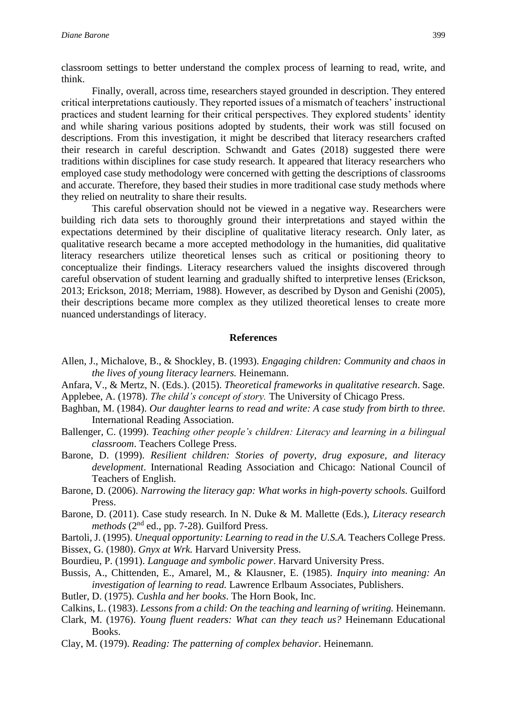classroom settings to better understand the complex process of learning to read, write, and think.

Finally, overall, across time, researchers stayed grounded in description. They entered critical interpretations cautiously. They reported issues of a mismatch of teachers' instructional practices and student learning for their critical perspectives. They explored students' identity and while sharing various positions adopted by students, their work was still focused on descriptions. From this investigation, it might be described that literacy researchers crafted their research in careful description. Schwandt and Gates (2018) suggested there were traditions within disciplines for case study research. It appeared that literacy researchers who employed case study methodology were concerned with getting the descriptions of classrooms and accurate. Therefore, they based their studies in more traditional case study methods where they relied on neutrality to share their results.

This careful observation should not be viewed in a negative way. Researchers were building rich data sets to thoroughly ground their interpretations and stayed within the expectations determined by their discipline of qualitative literacy research. Only later, as qualitative research became a more accepted methodology in the humanities, did qualitative literacy researchers utilize theoretical lenses such as critical or positioning theory to conceptualize their findings. Literacy researchers valued the insights discovered through careful observation of student learning and gradually shifted to interpretive lenses (Erickson, 2013; Erickson, 2018; Merriam, 1988). However, as described by Dyson and Genishi (2005), their descriptions became more complex as they utilized theoretical lenses to create more nuanced understandings of literacy.

#### **References**

- Allen, J., Michalove, B., & Shockley, B. (1993). *Engaging children: Community and chaos in the lives of young literacy learners.* Heinemann.
- Anfara, V., & Mertz, N. (Eds.). (2015). *Theoretical frameworks in qualitative research*. Sage. Applebee, A. (1978). *The child's concept of story.* The University of Chicago Press.
- Baghban, M. (1984). *Our daughter learns to read and write: A case study from birth to three.* International Reading Association.
- Ballenger, C. (1999). *Teaching other people's children: Literacy and learning in a bilingual classroom*. Teachers College Press.
- Barone, D. (1999). *Resilient children: Stories of poverty, drug exposure, and literacy development*. International Reading Association and Chicago: National Council of Teachers of English.
- Barone, D. (2006). *Narrowing the literacy gap: What works in high-poverty schools.* Guilford Press.
- Barone, D. (2011). Case study research. In N. Duke & M. Mallette (Eds.), *Literacy research*  methods (2<sup>nd</sup> ed., pp. 7-28). Guilford Press.
- Bartoli, J. (1995). *Unequal opportunity: Learning to read in the U.S.A.* Teachers College Press.
- Bissex, G. (1980). *Gnyx at Wrk.* Harvard University Press.
- Bourdieu, P. (1991). *Language and symbolic power*. Harvard University Press.
- Bussis, A., Chittenden, E., Amarel, M., & Klausner, E. (1985). *Inquiry into meaning: An investigation of learning to read.* Lawrence Erlbaum Associates, Publishers.
- Butler, D. (1975). *Cushla and her books*. The Horn Book, Inc.
- Calkins, L. (1983). *Lessons from a child: On the teaching and learning of writing.* Heinemann.
- Clark, M. (1976). *Young fluent readers: What can they teach us?* Heinemann Educational Books.
- Clay, M. (1979). *Reading: The patterning of complex behavior*. Heinemann.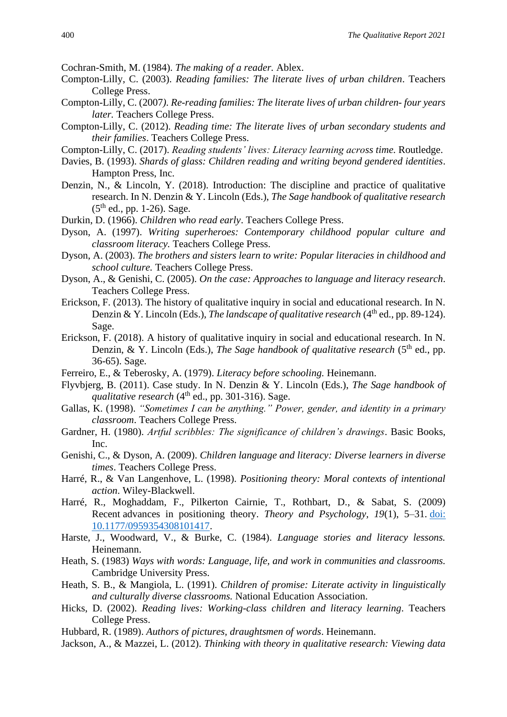Cochran-Smith, M. (1984). *The making of a reader.* Ablex.

- Compton-Lilly, C. (2003). *Reading families: The literate lives of urban children*. Teachers College Press.
- Compton-Lilly, C. (2007*). Re-reading families: The literate lives of urban children- four years later.* Teachers College Press.
- Compton-Lilly, C. (2012). *Reading time: The literate lives of urban secondary students and their families*. Teachers College Press.
- Compton-Lilly, C. (2017). *Reading students' lives: Literacy learning across time.* Routledge.
- Davies, B. (1993). *Shards of glass: Children reading and writing beyond gendered identities*. Hampton Press, Inc.
- Denzin, N., & Lincoln, Y. (2018). Introduction: The discipline and practice of qualitative research. In N. Denzin & Y. Lincoln (Eds.), *The Sage handbook of qualitative research*  $(5<sup>th</sup>$  ed., pp. 1-26). Sage.
- Durkin, D. (1966). *Children who read early*. Teachers College Press.
- Dyson, A. (1997). *Writing superheroes: Contemporary childhood popular culture and classroom literacy.* Teachers College Press.
- Dyson, A. (2003). *The brothers and sisters learn to write: Popular literacies in childhood and school culture.* Teachers College Press.
- Dyson, A., & Genishi, C. (2005). *On the case: Approaches to language and literacy research*. Teachers College Press.
- Erickson, F. (2013). The history of qualitative inquiry in social and educational research. In N. Denzin & Y. Lincoln (Eds.), *The landscape of qualitative research* (4<sup>th</sup> ed., pp. 89-124). Sage.
- Erickson, F. (2018). A history of qualitative inquiry in social and educational research. In N. Denzin, & Y. Lincoln (Eds.), *The Sage handbook of qualitative research* (5<sup>th</sup> ed., pp. 36-65). Sage.
- Ferreiro, E., & Teberosky, A. (1979). *Literacy before schooling.* Heinemann.
- Flyvbjerg, B. (2011). Case study. In N. Denzin & Y. Lincoln (Eds.), *The Sage handbook of qualitative research*  $(4<sup>th</sup>$  ed., pp. 301-316). Sage.
- Gallas, K. (1998). *"Sometimes I can be anything." Power, gender, and identity in a primary classroom*. Teachers College Press.
- Gardner, H. (1980). *Artful scribbles: The significance of children's drawings*. Basic Books, Inc.
- Genishi, C., & Dyson, A. (2009). *Children language and literacy: Diverse learners in diverse times*. Teachers College Press.
- Harré, R., & Van Langenhove, L. (1998). *Positioning theory: Moral contexts of intentional action*. Wiley-Blackwell.
- Harré, R., Moghaddam, F., Pilkerton Cairnie, T., Rothbart, D., & Sabat, S. (2009) Recent advances in positioning theory. *Theory and Psychology, 19*(1), 5–31. [doi:](http://tap.sagepub.com/content/19/1/5.abstract)  [10.1177/0959354308101417.](http://tap.sagepub.com/content/19/1/5.abstract)
- Harste, J., Woodward, V., & Burke, C. (1984). *Language stories and literacy lessons.*  Heinemann.
- Heath, S. (1983) *Ways with words: Language, life, and work in communities and classrooms.* Cambridge University Press.
- Heath, S. B., & Mangiola, L. (1991). *Children of promise: Literate activity in linguistically and culturally diverse classrooms.* National Education Association.
- Hicks, D. (2002). *Reading lives: Working-class children and literacy learning*. Teachers College Press.
- Hubbard, R. (1989). *Authors of pictures, draughtsmen of words*. Heinemann.
- Jackson, A., & Mazzei, L. (2012). *Thinking with theory in qualitative research: Viewing data*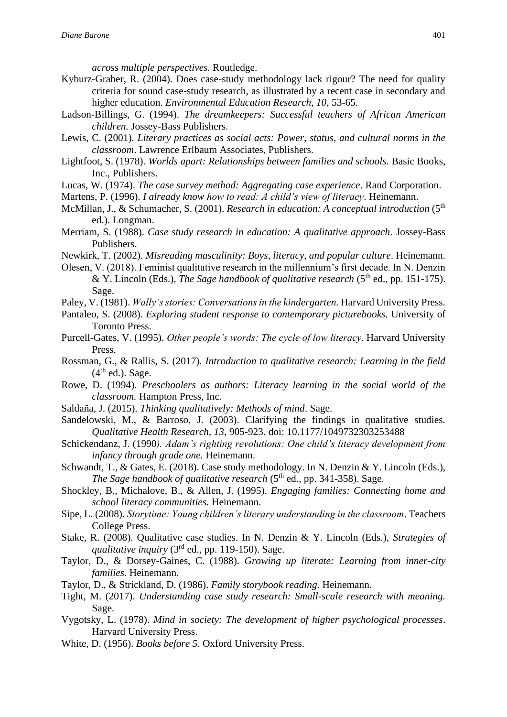*across multiple perspectives.* Routledge.

- Kyburz-Graber, R. (2004). Does case-study methodology lack rigour? The need for quality criteria for sound case-study research, as illustrated by a recent case in secondary and higher education. *Environmental Education Research, 10*, 53-65.
- Ladson-Billings, G. (1994). *The dreamkeepers: Successful teachers of African American children.* Jossey-Bass Publishers.
- Lewis, C. (2001). *Literary practices as social acts: Power, status, and cultural norms in the classroom*. Lawrence Erlbaum Associates, Publishers.
- Lightfoot, S. (1978). *Worlds apart: Relationships between families and schools.* Basic Books, Inc., Publishers.
- Lucas, W. (1974). *The case survey method: Aggregating case experience*. Rand Corporation.
- Martens, P. (1996). *I already know how to read: A child's view of literacy*. Heinemann.
- McMillan, J., & Schumacher, S. (2001). *Research in education: A conceptual introduction* (5<sup>th</sup>) ed.). Longman.
- Merriam, S. (1988). *Case study research in education: A qualitative approach*. Jossey-Bass Publishers.
- Newkirk, T. (2002). *Misreading masculinity: Boys, literacy, and popular culture*. Heinemann.
- Olesen, V. (2018). Feminist qualitative research in the millennium's first decade. In N. Denzin & Y. Lincoln (Eds.), *The Sage handbook of qualitative research* (5th ed., pp. 151-175). Sage.
- Paley, V. (1981). *Wally's stories: Conversations in the kindergarten.* Harvard University Press.
- Pantaleo, S. (2008). *Exploring student response to contemporary picturebooks.* University of Toronto Press.
- Purcell-Gates, V. (1995). *Other people's words: The cycle of low literacy*. Harvard University Press.
- Rossman, G., & Rallis, S. (2017). *Introduction to qualitative research: Learning in the field*  $(4<sup>th</sup>$  ed.). Sage.
- Rowe, D. (1994). *Preschoolers as authors: Literacy learning in the social world of the classroom.* Hampton Press, Inc.
- Saldaña, J. (2015). *Thinking qualitatively: Methods of mind*. Sage.
- Sandelowski, M., & Barroso, J. (2003). Clarifying the findings in qualitative studies. *Qualitative Health Research, 13*, 905-923. doi: 10.1177/1049732303253488
- Schickendanz, J. (1990*). Adam's righting revolutions: One child's literacy development from infancy through grade one.* Heinemann.
- Schwandt, T., & Gates, E. (2018). Case study methodology. In N. Denzin & Y. Lincoln (Eds.), *The Sage handbook of qualitative research* (5<sup>th</sup> ed., pp. 341-358). Sage.
- Shockley, B., Michalove, B., & Allen, J. (1995). *Engaging families: Connecting home and school literacy communities.* Heinemann.
- Sipe, L. (2008). *Storytime: Young children's literary understanding in the classroom*. Teachers College Press.
- Stake, R. (2008). Qualitative case studies. In N. Denzin & Y. Lincoln (Eds.), *Strategies of qualitative inquiry* (3rd ed., pp. 119-150). Sage.
- Taylor, D., & Dorsey-Gaines, C. (1988). *Growing up literate: Learning from inner-city families.* Heinemann.
- Taylor, D., & Strickland, D. (1986). *Family storybook reading.* Heinemann.
- Tight, M. (2017). *Understanding case study research: Small-scale research with meaning.* Sage.
- Vygotsky, L. (1978). *Mind in society: The development of higher psychological processes*. Harvard University Press.
- White, D. (1956). *Books before 5*. Oxford University Press.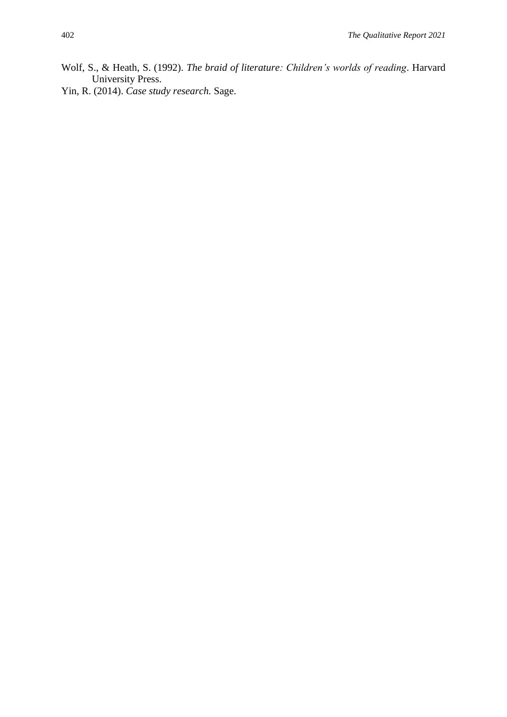- Wolf, S., & Heath, S. (1992). *The braid of literature: Children's worlds of reading*. Harvard University Press.
- Yin, R. (2014). *Case study research.* Sage.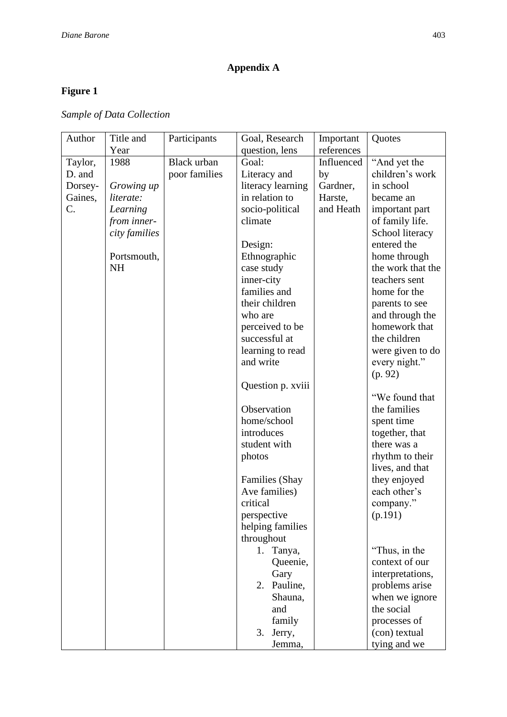## **Appendix A**

## **Figure 1**

*Sample of Data Collection*

|                                                                     | Quotes                          |
|---------------------------------------------------------------------|---------------------------------|
| Year<br>question, lens<br>references                                |                                 |
| <b>Black urban</b><br>Goal:<br>1988<br>Influenced<br>Taylor,        | "And yet the                    |
| poor families<br>Literacy and<br>D. and<br>by                       | children's work                 |
| literacy learning<br>Gardner,<br>in school<br>Dorsey-<br>Growing up |                                 |
| in relation to<br>Gaines,<br>literate:<br>Harste,                   | became an                       |
| C.<br>and Heath<br>socio-political<br>Learning                      | important part                  |
| from inner-<br>climate                                              | of family life.                 |
| city families                                                       | School literacy                 |
| Design:                                                             | entered the                     |
| Portsmouth,<br>Ethnographic                                         | home through                    |
| <b>NH</b><br>case study                                             | the work that the               |
| inner-city                                                          | teachers sent                   |
| families and                                                        | home for the                    |
| their children                                                      | parents to see                  |
| who are                                                             | and through the                 |
| perceived to be                                                     | homework that                   |
| successful at                                                       | the children                    |
| learning to read                                                    | were given to do                |
| and write                                                           | every night."                   |
| (p. 92)                                                             |                                 |
| Question p. xviii                                                   |                                 |
|                                                                     | "We found that                  |
| Observation                                                         | the families                    |
| home/school                                                         | spent time                      |
| introduces                                                          | together, that                  |
| student with                                                        | there was a                     |
| photos                                                              | rhythm to their                 |
|                                                                     | lives, and that                 |
| Families (Shay                                                      | they enjoyed                    |
| Ave families)                                                       | each other's                    |
| critical                                                            | company."                       |
| perspective<br>(p.191)                                              |                                 |
| helping families                                                    |                                 |
| throughout                                                          |                                 |
| 1.<br>Tanya,<br>Queenie,                                            | "Thus, in the<br>context of our |
| Gary                                                                | interpretations,                |
| Pauline,<br>2.                                                      | problems arise                  |
| Shauna,                                                             | when we ignore                  |
| the social<br>and                                                   |                                 |
| family                                                              | processes of                    |
| 3.<br>Jerry,                                                        | (con) textual                   |
| Jemma,                                                              | tying and we                    |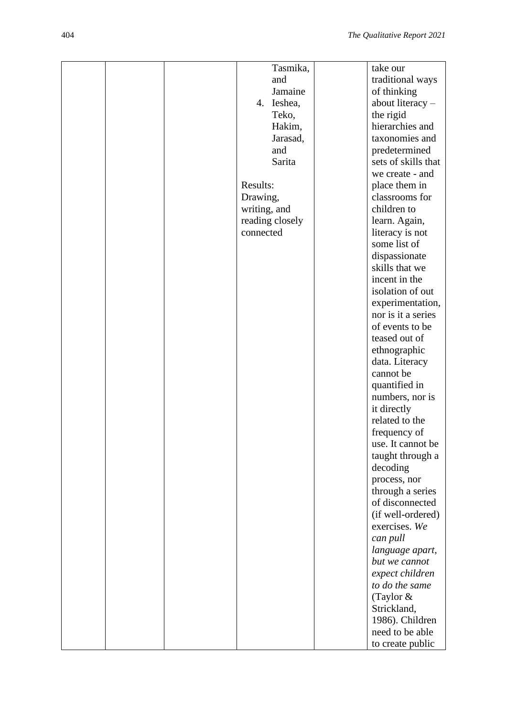|  | Tasmika,        | take our                            |
|--|-----------------|-------------------------------------|
|  | and             | traditional ways                    |
|  | Jamaine         | of thinking                         |
|  | 4. Ieshea,      | about literacy -                    |
|  | Teko,           | the rigid                           |
|  | Hakim,          | hierarchies and                     |
|  | Jarasad,        | taxonomies and                      |
|  | and             | predetermined                       |
|  | Sarita          | sets of skills that                 |
|  |                 | we create - and                     |
|  | Results:        | place them in                       |
|  | Drawing,        | classrooms for                      |
|  | writing, and    | children to                         |
|  | reading closely | learn. Again,                       |
|  | connected       | literacy is not                     |
|  |                 | some list of                        |
|  |                 | dispassionate                       |
|  |                 | skills that we                      |
|  |                 | incent in the                       |
|  |                 | isolation of out                    |
|  |                 | experimentation,                    |
|  |                 | nor is it a series                  |
|  |                 | of events to be                     |
|  |                 | teased out of                       |
|  |                 |                                     |
|  |                 | ethnographic<br>data. Literacy      |
|  |                 | cannot be                           |
|  |                 |                                     |
|  |                 | quantified in<br>numbers, nor is    |
|  |                 |                                     |
|  |                 | it directly<br>related to the       |
|  |                 |                                     |
|  |                 | frequency of<br>use. It cannot be   |
|  |                 |                                     |
|  |                 | taught through a                    |
|  |                 | decoding                            |
|  |                 | process, nor                        |
|  |                 | through a series<br>of disconnected |
|  |                 |                                     |
|  |                 | (if well-ordered)                   |
|  |                 | exercises. We                       |
|  |                 | can pull                            |
|  |                 | language apart,                     |
|  |                 | but we cannot                       |
|  |                 | expect children                     |
|  |                 | to do the same                      |
|  |                 | (Taylor $&$                         |
|  |                 | Strickland,                         |
|  |                 | 1986). Children                     |
|  |                 | need to be able                     |
|  |                 | to create public                    |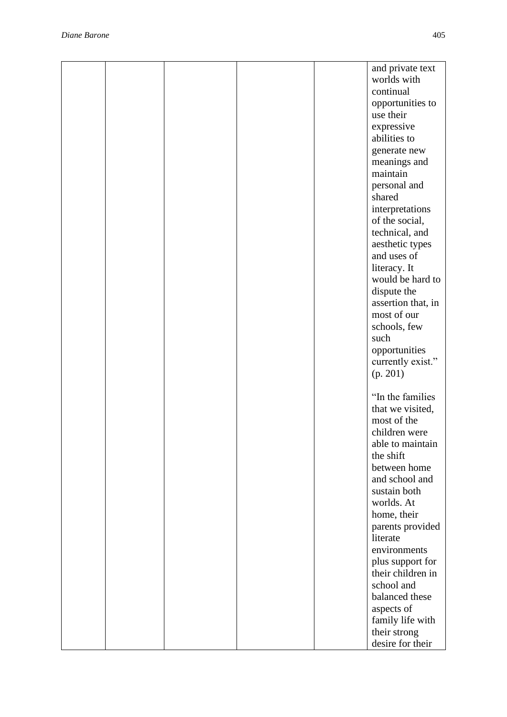|  |  | and private text              |
|--|--|-------------------------------|
|  |  | worlds with                   |
|  |  | continual                     |
|  |  | opportunities to              |
|  |  | use their                     |
|  |  | expressive                    |
|  |  | abilities to                  |
|  |  | generate new                  |
|  |  | meanings and                  |
|  |  | maintain                      |
|  |  | personal and                  |
|  |  | shared                        |
|  |  | interpretations               |
|  |  | of the social,                |
|  |  | technical, and                |
|  |  | aesthetic types               |
|  |  | and uses of                   |
|  |  | literacy. It                  |
|  |  | would be hard to              |
|  |  | dispute the                   |
|  |  | assertion that, in            |
|  |  | most of our                   |
|  |  | schools, few                  |
|  |  | such                          |
|  |  | opportunities                 |
|  |  | currently exist."             |
|  |  | (p. 201)                      |
|  |  |                               |
|  |  | "In the families              |
|  |  | that we visited,              |
|  |  | most of the                   |
|  |  | children were                 |
|  |  | able to maintain<br>the shift |
|  |  | between home                  |
|  |  | and school and                |
|  |  | sustain both                  |
|  |  | worlds. At                    |
|  |  | home, their                   |
|  |  | parents provided              |
|  |  | literate                      |
|  |  | environments                  |
|  |  | plus support for              |
|  |  | their children in             |
|  |  | school and                    |
|  |  | balanced these                |
|  |  | aspects of                    |
|  |  | family life with              |
|  |  | their strong                  |
|  |  | desire for their              |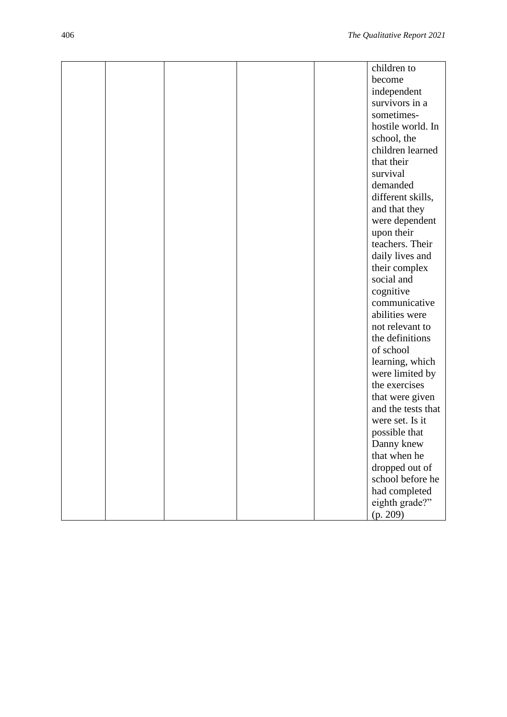|  |  | children to        |
|--|--|--------------------|
|  |  | become             |
|  |  | independent        |
|  |  | survivors in a     |
|  |  | sometimes-         |
|  |  | hostile world. In  |
|  |  | school, the        |
|  |  | children learned   |
|  |  | that their         |
|  |  | survival           |
|  |  | demanded           |
|  |  |                    |
|  |  | different skills,  |
|  |  | and that they      |
|  |  | were dependent     |
|  |  | upon their         |
|  |  | teachers. Their    |
|  |  | daily lives and    |
|  |  | their complex      |
|  |  | social and         |
|  |  | cognitive          |
|  |  | communicative      |
|  |  | abilities were     |
|  |  | not relevant to    |
|  |  | the definitions    |
|  |  | of school          |
|  |  | learning, which    |
|  |  | were limited by    |
|  |  | the exercises      |
|  |  | that were given    |
|  |  | and the tests that |
|  |  | were set. Is it    |
|  |  | possible that      |
|  |  | Danny knew         |
|  |  | that when he       |
|  |  | dropped out of     |
|  |  | school before he   |
|  |  | had completed      |
|  |  | eighth grade?"     |
|  |  | (p. 209)           |
|  |  |                    |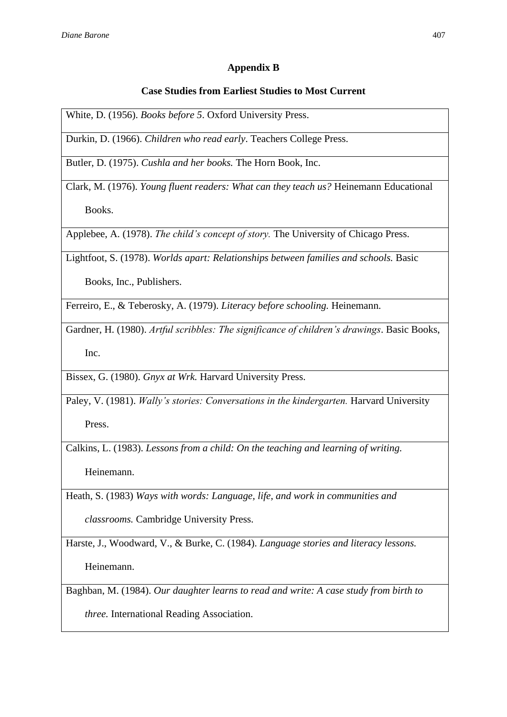## **Appendix B**

### **Case Studies from Earliest Studies to Most Current**

White, D. (1956). *Books before 5*. Oxford University Press.

Durkin, D. (1966). *Children who read early*. Teachers College Press.

Butler, D. (1975). *Cushla and her books.* The Horn Book, Inc.

Clark, M. (1976). *Young fluent readers: What can they teach us?* Heinemann Educational Books.

Applebee, A. (1978). *The child's concept of story.* The University of Chicago Press.

Lightfoot, S. (1978). *Worlds apart: Relationships between families and schools.* Basic

Books, Inc., Publishers.

Ferreiro, E., & Teberosky, A. (1979). *Literacy before schooling.* Heinemann.

Gardner, H. (1980). *Artful scribbles: The significance of children's drawings*. Basic Books, Inc.

Bissex, G. (1980). *Gnyx at Wrk.* Harvard University Press.

Paley, V. (1981). *Wally's stories: Conversations in the kindergarten.* Harvard University Press.

Calkins, L. (1983). *Lessons from a child: On the teaching and learning of writing.*

Heinemann.

Heath, S. (1983) *Ways with words: Language, life, and work in communities and* 

*classrooms.* Cambridge University Press.

Harste, J., Woodward, V., & Burke, C. (1984). *Language stories and literacy lessons.* 

Heinemann.

Baghban, M. (1984). *Our daughter learns to read and write: A case study from birth to* 

*three.* International Reading Association.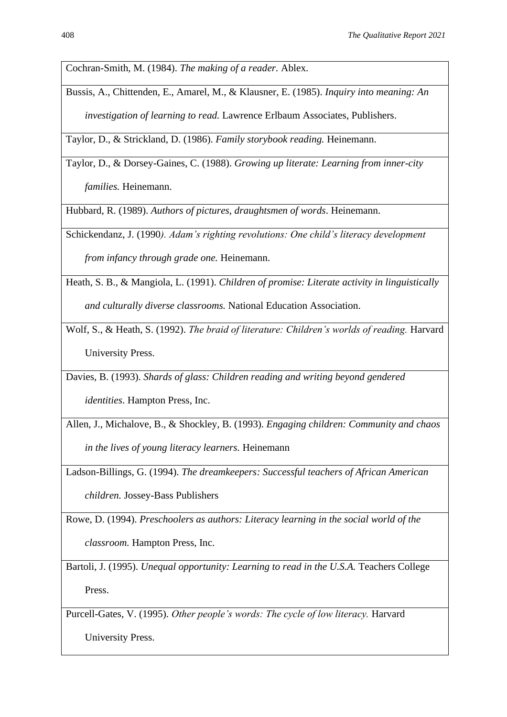Cochran-Smith, M. (1984). *The making of a reader.* Ablex.

Bussis, A., Chittenden, E., Amarel, M., & Klausner, E. (1985). *Inquiry into meaning: An investigation of learning to read.* Lawrence Erlbaum Associates, Publishers.

Taylor, D., & Strickland, D. (1986). *Family storybook reading.* Heinemann.

Taylor, D., & Dorsey-Gaines, C. (1988). *Growing up literate: Learning from inner-city families.* Heinemann.

Hubbard, R. (1989). *Authors of pictures, draughtsmen of words*. Heinemann.

Schickendanz, J. (1990*). Adam's righting revolutions: One child's literacy development* 

*from infancy through grade one.* Heinemann.

Heath, S. B., & Mangiola, L. (1991). *Children of promise: Literate activity in linguistically and culturally diverse classrooms.* National Education Association.

Wolf, S., & Heath, S. (1992). *The braid of literature: Children's worlds of reading.* Harvard University Press.

Davies, B. (1993). *Shards of glass: Children reading and writing beyond gendered* 

*identities*. Hampton Press, Inc.

Allen, J., Michalove, B., & Shockley, B. (1993). *Engaging children: Community and chaos* 

*in the lives of young literacy learners.* Heinemann

Ladson-Billings, G. (1994). *The dreamkeepers: Successful teachers of African American* 

*children.* Jossey-Bass Publishers

Rowe, D. (1994). *Preschoolers as authors: Literacy learning in the social world of the classroom.* Hampton Press, Inc.

Bartoli, J. (1995). *Unequal opportunity: Learning to read in the U.S.A.* Teachers College Press.

Purcell-Gates, V. (1995). *Other people's words: The cycle of low literacy.* Harvard

University Press.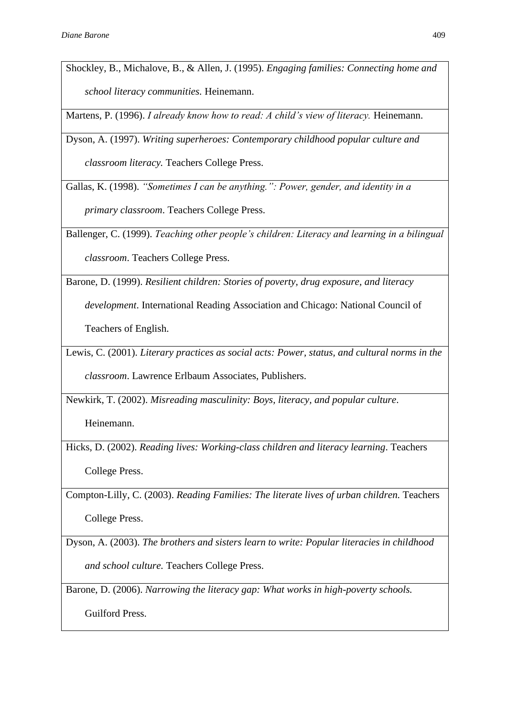Shockley, B., Michalove, B., & Allen, J. (1995). *Engaging families: Connecting home and school literacy communities.* Heinemann.

Martens, P. (1996). *I already know how to read: A child's view of literacy*. Heinemann.

Dyson, A. (1997). *Writing superheroes: Contemporary childhood popular culture and classroom literacy.* Teachers College Press.

Gallas, K. (1998). *"Sometimes I can be anything.": Power, gender, and identity in a primary classroom*. Teachers College Press.

Ballenger, C. (1999). *Teaching other people's children: Literacy and learning in a bilingual classroom*. Teachers College Press.

Barone, D. (1999). *Resilient children: Stories of poverty, drug exposure, and literacy* 

*development*. International Reading Association and Chicago: National Council of

Teachers of English.

Lewis, C. (2001). *Literary practices as social acts: Power, status, and cultural norms in the classroom*. Lawrence Erlbaum Associates, Publishers.

Newkirk, T. (2002). *Misreading masculinity: Boys, literacy, and popular culture*.

Heinemann.

Hicks, D. (2002). *Reading lives: Working-class children and literacy learning*. Teachers College Press.

Compton-Lilly, C. (2003). *Reading Families: The literate lives of urban children.* Teachers College Press.

Dyson, A. (2003). *The brothers and sisters learn to write: Popular literacies in childhood and school culture.* Teachers College Press.

Barone, D. (2006). *Narrowing the literacy gap: What works in high-poverty schools.*

Guilford Press.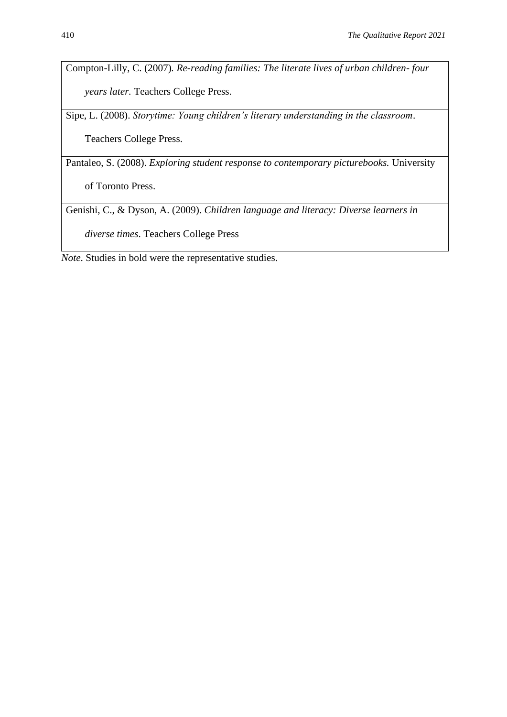Compton-Lilly, C. (2007)*. Re-reading families: The literate lives of urban children- four years later.* Teachers College Press.

Sipe, L. (2008). *Storytime: Young children's literary understanding in the classroom*.

Teachers College Press.

Pantaleo, S. (2008). *Exploring student response to contemporary picturebooks.* University

of Toronto Press.

Genishi, C., & Dyson, A. (2009). *Children language and literacy: Diverse learners in* 

*diverse times*. Teachers College Press

*Note*. Studies in bold were the representative studies.